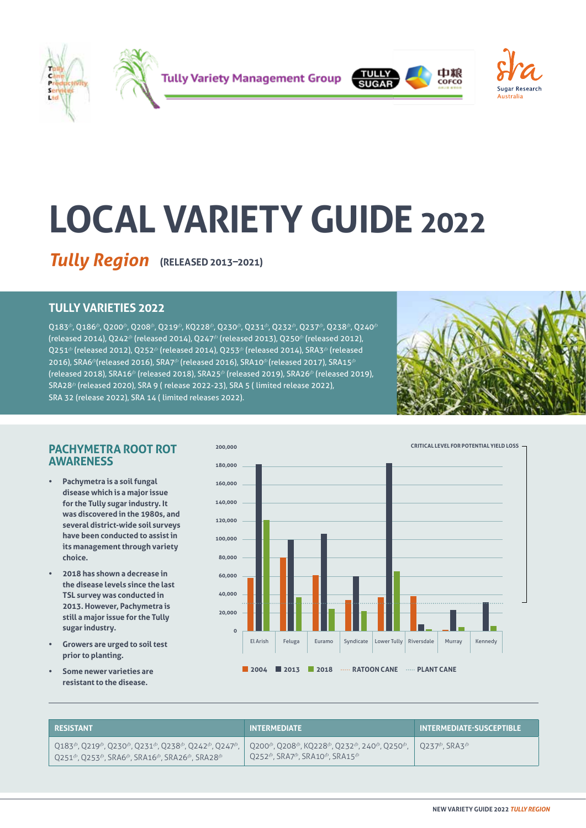







# **LOCAL VARIETY GUIDE 2022**

**Tully Region** (RELEASED 2013-2021)

# **TULLY VARIETIES 2022**

 $Q183^{\circ}$ ,  $Q186^{\circ}$ ,  $Q200^{\circ}$ ,  $Q208^{\circ}$ ,  $Q219^{\circ}$ , K $Q228^{\circ}$ ,  $Q230^{\circ}$ ,  $Q231^{\circ}$ ,  $Q232^{\circ}$ ,  $Q237^{\circ}$ ,  $Q238^{\circ}$ ,  $Q240^{\circ}$ (released 2014), Q242<sup>®</sup> (released 2014), Q247<sup>®</sup> (released 2013), Q250<sup>®</sup> (released 2012),  $Q$ 251<sup> $\phi$ </sup> (released 2012), Q252<sup> $\phi$ </sup> (released 2014), Q253<sup> $\phi$ </sup> (released 2014), SRA3<sup> $\phi$ </sup> (released 2016), SRA6<sup> $\phi$ </sup>(released 2016), SRA7<sup> $\phi$ </sup> (released 2016), SRA10<sup> $\phi$ </sup> (released 2017), SRA15<sup> $d$ </sup> (released 2018), SRA16<sup>®</sup> (released 2018), SRA25<sup>®</sup> (released 2019), SRA26<sup>®</sup> (released 2019), SRA28<sup>®</sup> (released 2020), SRA 9 (release 2022-23), SRA 5 (limited release 2022), SRA 32 (release 2022), SRA 14 ( limited releases 2022).



# **PACHYMETRA ROOT ROT AWARENESS**

- **• Pachymetra is a soil fungal disease which is a major issue for the Tully sugar industry. It was discovered in the 1980s, and several district-wide soil surveys have been conducted to assist in its management through variety choice.**
- **2018 has shown a decrease in the disease levels since the last TSL survey was conducted in 2013. However, Pachymetra is still a major issue for the Tully sugar industry.**
- **• Growers are urged to soil test prior to planting.**
- **• Some newer varieties are resistant to the disease.**



| <b>RESISTANT</b>                                                                                                                                                                                                                                                                                                                                 | <b>INTERMEDIATE</b>                                                            | <b>INTERMEDIATE-SUSCEPTIBLE</b>                      |
|--------------------------------------------------------------------------------------------------------------------------------------------------------------------------------------------------------------------------------------------------------------------------------------------------------------------------------------------------|--------------------------------------------------------------------------------|------------------------------------------------------|
| $0.0183^{\circ}$ , $0.0219^{\circ}$ , $0.0230^{\circ}$ , $0.0231^{\circ}$ , $0.0243^{\circ}$ , $0.0247^{\circ}$ , $0.0200^{\circ}$ , $0.0208^{\circ}$ , K0228 $^{\circ}$ , Q232 $^{\circ}$ , 240 $^{\circ}$ , Q250 $^{\circ}$ ,<br>$Q$ 251 <sup><math>\phi</math></sup> , Q253 $\phi$ , SRA6 $\phi$ , SRA16 $\phi$ , SRA26 $\phi$ , SRA28 $\phi$ | $\sim$ 0252 $^{\circ}$ , SRA7 $^{\circ}$ , SRA10 $^{\circ}$ , SRA15 $^{\circ}$ | $10237^{\circ}$ . SRA3 <sup><math>\circ</math></sup> |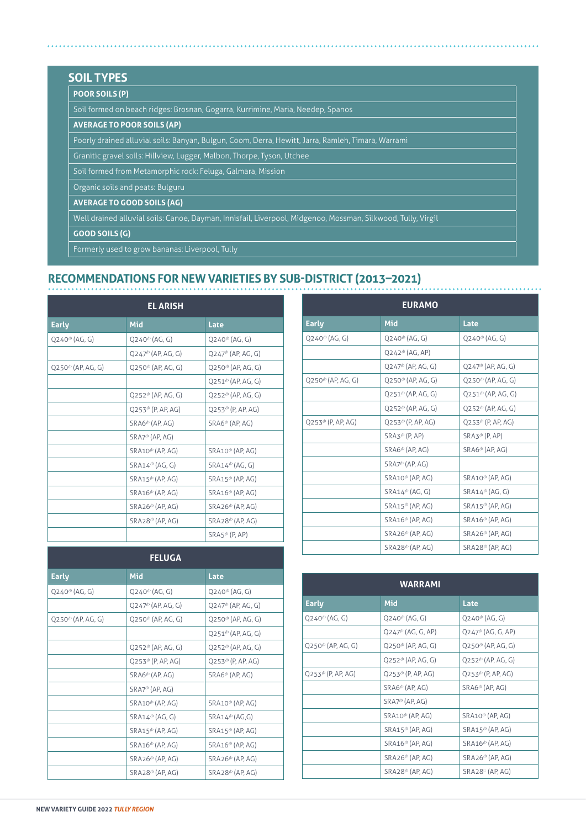# **SOIL TYPES**

# **POOR SOILS (P)**

Soil formed on beach ridges: Brosnan, Gogarra, Kurrimine, Maria, Needep, Spanos

## **AVERAGE TO POOR SOILS (AP)**

Poorly drained alluvial soils: Banyan, Bulgun, Coom, Derra, Hewitt, Jarra, Ramleh, Timara, Warrami

Granitic gravel soils: Hillview, Lugger, Malbon, Thorpe, Tyson, Utchee

Soil formed from Metamorphic rock: Feluga, Galmara, Mission

Organic soils and peats: Bulguru

**AVERAGE TO GOOD SOILS (AG)**

Well drained alluvial soils: Canoe, Dayman, Innisfail, Liverpool, Midgenoo, Mossman, Silkwood, Tully, Virgil

**GOOD SOILS (G)**

Formerly used to grow bananas: Liverpool, Tully

# **RECOMMENDATIONS FOR NEW VARIETIES BY SUB-DISTRICT (2013–2021)**

| <b>EL ARISH</b>                                  |                                                  |                                                  |  |
|--------------------------------------------------|--------------------------------------------------|--------------------------------------------------|--|
| <b>Early</b>                                     | Mid                                              | Late                                             |  |
| $Q$ 240 <sup><math>\phi</math></sup> (AG, G)     | $Q$ 240 <sup><math>\phi</math></sup> (AG, G)     | $Q240^{\circ}$ (AG, G)                           |  |
|                                                  | $Q$ 247 <sup><math>\phi</math></sup> (AP, AG, G) | $Q$ 247 <sup><math>\phi</math></sup> (AP, AG, G) |  |
| $Q$ 250 <sup><math>\phi</math></sup> (AP, AG, G) | $Q$ 250 <sup><math>\phi</math></sup> (AP, AG, G) | $Q$ 250 <sup><math>\phi</math></sup> (AP, AG, G) |  |
|                                                  |                                                  | $Q251^{\circ}$ (AP, AG, G)                       |  |
|                                                  | $O252^{\circ}$ (AP, AG, G)                       | $Q$ 252 <sup><math>\phi</math></sup> (AP, AG, G) |  |
|                                                  | $Q$ 253 <sup><math>\phi</math></sup> (P, AP, AG) | $Q$ 253 <sup><math>\phi</math></sup> (P, AP, AG) |  |
|                                                  | $SRAG^{\oplus}$ (AP, AG)                         | $SRAG^{\oplus}$ (AP, AG)                         |  |
|                                                  | $SRA7^{\phi}$ (AP, AG)                           |                                                  |  |
|                                                  | $SRA10^{\circ}$ (AP, AG)                         | $SRA10^{\circ}$ (AP, AG)                         |  |
|                                                  | SRA14 <sup>(b</sup> (AG, G)                      | $SRA14^{\circ}$ (AG, G)                          |  |
|                                                  | $SRA15^{\circ}$ (AP, AG)                         | $SRA15^{\circ}$ (AP, AG)                         |  |
|                                                  | SRA16 <sup>®</sup> (AP, AG)                      | SRA16 <sup>®</sup> (AP, AG)                      |  |
|                                                  | $SRA26^{\circ}$ (AP, AG)                         | $SRA26^{\circ}$ (AP, AG)                         |  |
|                                                  | SRA28 <sup>(b</sup> (AP, AG)                     | $SRA28^{\circ}$ (AP, AG)                         |  |
|                                                  |                                                  | $SRAS^{\phi}$ (P. AP)                            |  |

| <b>FELUGA</b>                                    |                                                  |                                                  |  |
|--------------------------------------------------|--------------------------------------------------|--------------------------------------------------|--|
| <b>Early</b>                                     | Mid                                              | Late                                             |  |
| $Q$ 240 <sup><math>\phi</math></sup> (AG, G)     | $Q$ 240 <sup><math>\phi</math></sup> (AG, G)     | $Q$ 240 <sup><math>\Phi</math></sup> (AG, G)     |  |
|                                                  | $Q$ 247 <sup><math>\phi</math></sup> (AP, AG, G) | $Q$ 247 <sup><math>\phi</math></sup> (AP, AG, G) |  |
| $Q$ 250 <sup><math>\phi</math></sup> (AP, AG, G) | $Q$ 250 <sup><math>\phi</math></sup> (AP, AG, G) | $Q$ 250 <sup><math>\phi</math></sup> (AP, AG, G) |  |
|                                                  |                                                  | $Q251^{\circ}$ (AP, AG, G)                       |  |
|                                                  | $Q$ 252 <sup><math>\phi</math></sup> (AP, AG, G) | $Q$ 252 <sup><math>\phi</math></sup> (AP, AG, G) |  |
|                                                  | $Q$ 253 <sup><math>\phi</math></sup> (P, AP, AG) | $Q$ 253 <sup><math>\phi</math></sup> (P, AP, AG) |  |
|                                                  | SRA6 <sup>®</sup> (AP, AG)                       | SRA6 <sup>®</sup> (AP, AG)                       |  |
|                                                  | SRA7 <sup>®</sup> (AP, AG)                       |                                                  |  |
|                                                  | SRA10 <sup>®</sup> (AP, AG)                      | SRA10 <sup>®</sup> (AP, AG)                      |  |
|                                                  | $SRA14^{\phi}$ (AG, G)                           | $SRA14^{\circ}$ (AG,G)                           |  |
|                                                  | $SRA15^{\circ}$ (AP, AG)                         | $SRA15^{\phi}$ (AP, AG)                          |  |
|                                                  | $SRA16^{\phi}$ (AP, AG)                          | $SRA16^{\circ}$ (AP, AG)                         |  |
|                                                  | SRA26 <sup>(b</sup> (AP, AG)                     | $SRA26^{\phi}$ (AP, AG)                          |  |
|                                                  | $SRA28^{\phi}$ (AP, AG)                          | $SRA28^{\phi}$ (AP, AG)                          |  |

| <b>EURAMO</b>                                    |                                                  |                                                  |  |
|--------------------------------------------------|--------------------------------------------------|--------------------------------------------------|--|
| <b>Early</b>                                     | Mid                                              | Late                                             |  |
| $O240^{\circ}$ (AG, G)                           | $O240^{\circ}$ (AG, G)                           | $O240^{\circ}$ (AG, G)                           |  |
|                                                  | $Q$ 242 <sup><math>\phi</math></sup> (AG, AP)    |                                                  |  |
|                                                  | $O247^{\circ}$ (AP, AG, G)                       | $O247^{\circ}$ (AP, AG, G)                       |  |
| $O250^{\circ}$ (AP, AG, G)                       | $Q250^{\circ}$ (AP, AG, G)                       | $Q$ 250 <sup><math>\phi</math></sup> (AP, AG, G) |  |
|                                                  | $Q251^{\circ}$ (AP, AG, G)                       | $Q251^{\circ}$ (AP, AG, G)                       |  |
|                                                  | $Q$ 252 <sup><math>\phi</math></sup> (AP, AG, G) | $Q$ 252 <sup><math>\phi</math></sup> (AP, AG, G) |  |
| $Q$ 253 <sup><math>\phi</math></sup> (P, AP, AG) | $Q253^{\circ}$ (P, AP, AG)                       | $Q$ 253 <sup><math>\phi</math></sup> (P, AP, AG) |  |
|                                                  | $SRA3^{\phi}$ (P, AP)                            | $SRA3^{\phi}$ (P, AP)                            |  |
|                                                  | $SRAG^{\oplus}$ (AP, AG)                         | $SRAG^{\oplus}$ (AP, AG)                         |  |
|                                                  | SRA7 <sup>(b</sup> (AP, AG)                      |                                                  |  |
|                                                  | $SRA10^{\circ}$ (AP, AG)                         | $SRA10^{\phi}$ (AP, AG)                          |  |
|                                                  | $SRA14^{\phi}$ (AG, G)                           | $SRA14^{\phi}$ (AG, G)                           |  |
|                                                  | $SRA15^{\phi}$ (AP, AG)                          | $SRA15^{\phi}$ (AP, AG)                          |  |
|                                                  | $SRA16^{\circ}$ (AP, AG)                         | $SRA16^{\phi}$ (AP, AG)                          |  |
|                                                  | $SRA26^{\circ}$ (AP, AG)                         | $SRA26^{\phi}$ (AP, AG)                          |  |
|                                                  | $SRA28^{\phi}$ (AP, AG)                          | $SRA28^{\circ}$ (AP, AG)                         |  |

. . . . . . . . . . . . . . .

| <b>WARRAMI</b>                                   |                                                  |                                                  |  |
|--------------------------------------------------|--------------------------------------------------|--------------------------------------------------|--|
| <b>Early</b>                                     | Mid                                              | Late                                             |  |
| $Q$ 240 <sup><math>\phi</math></sup> (AG, G)     | $Q$ 240 <sup><math>\phi</math></sup> (AG, G)     | $Q$ 240 <sup><math>\phi</math></sup> (AG, G)     |  |
|                                                  | $Q$ 247 <sup><math>\phi</math></sup> (AG, G, AP) | $Q$ 247 <sup><math>\phi</math></sup> (AG, G, AP) |  |
| $Q$ 250 <sup><math>\phi</math></sup> (AP, AG, G) | $Q$ 250 <sup><math>\phi</math></sup> (AP, AG, G) | $Q$ 250 <sup><math>\phi</math></sup> (AP, AG, G) |  |
|                                                  | $Q$ 252 <sup><math>\phi</math></sup> (AP, AG, G) | $Q$ 252 <sup><math>\phi</math></sup> (AP, AG, G) |  |
| $Q$ 253 <sup><math>\phi</math></sup> (P, AP, AG) | $Q$ 253 <sup><math>\phi</math></sup> (P, AP, AG) | $Q$ 253 <sup><math>\phi</math></sup> (P, AP, AG) |  |
|                                                  | $SRAG^{\oplus}$ (AP, AG)                         | SRA6 <sup>®</sup> (AP, AG)                       |  |
|                                                  | $SRA7^{\circ}$ (AP, AG)                          |                                                  |  |
|                                                  | $SRA10^{\circ}$ (AP, AG)                         | $SRA10^{\phi}$ (AP, AG)                          |  |
|                                                  | $SRA15^{\circ}$ (AP, AG)                         | $SRA15^{\phi}$ (AP, AG)                          |  |
|                                                  | $SRA16^{\circ}$ (AP, AG)                         | SRA16 <sup>th</sup> (AP, AG)                     |  |
|                                                  | SRA26 <sup>(b</sup> (AP, AG)                     | $SRA26^{\phi}$ (AP, AG)                          |  |
|                                                  | $SRA28^{\circ}$ (AP, AG)                         | $SRA28°$ (AP, AG)                                |  |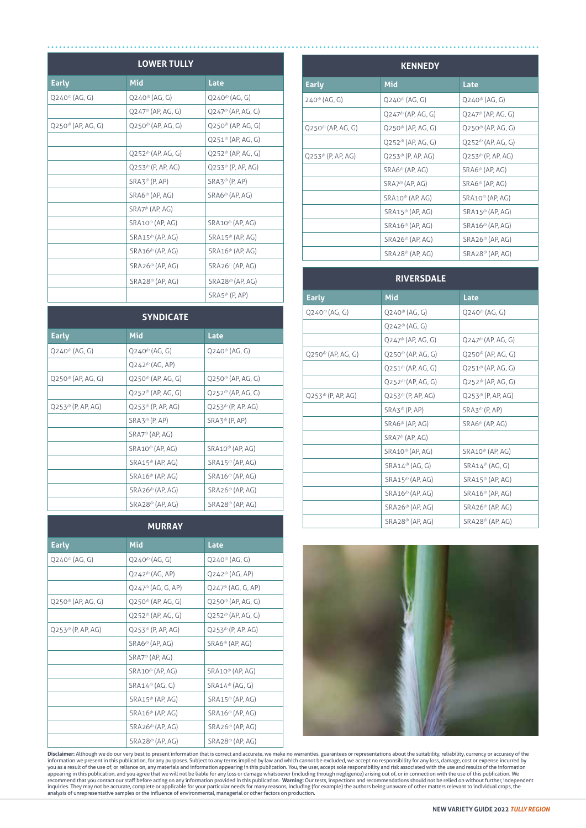| <b>LOWER TULLY</b>                               |                                                   |                                                  |  |
|--------------------------------------------------|---------------------------------------------------|--------------------------------------------------|--|
| <b>Early</b>                                     | Mid                                               | Late                                             |  |
| Q240 <sup>th</sup> (AG, G)                       | $Q$ 240 <sup><math>\phi</math></sup> (AG, G)      | $Q$ 240 <sup><math>\phi</math></sup> (AG, G)     |  |
|                                                  | $Q$ 247 <sup><math>\circ</math></sup> (AP, AG, G) | $Q$ 247 <sup><math>\phi</math></sup> (AP, AG, G) |  |
| $Q$ 250 <sup><math>\phi</math></sup> (AP, AG, G) | $Q$ 250 <sup><math>\phi</math></sup> (AP, AG, G)  | $Q$ 250 <sup><math>\phi</math></sup> (AP, AG, G) |  |
|                                                  |                                                   | $Q251^{\circ}$ (AP, AG, G)                       |  |
|                                                  | $Q$ 252 <sup><math>\phi</math></sup> (AP, AG, G)  | $Q$ 252 <sup><math>\phi</math></sup> (AP, AG, G) |  |
|                                                  | $Q$ 253 <sup><math>\phi</math></sup> (P, AP, AG)  | $Q$ 253 <sup><math>\phi</math></sup> (P, AP, AG) |  |
|                                                  | $SRA3^{\phi}$ (P, AP)                             | SRA3 <sup>®</sup> (P, AP)                        |  |
|                                                  | $SRAG^{\oplus}$ (AP, AG)                          | SRA6 <sup>th</sup> (AP, AG)                      |  |
|                                                  | SRA7 <sup>th</sup> (AP, AG)                       |                                                  |  |
|                                                  | $SRA10^{\circ}$ (AP, AG)                          | SRA10 <sup>th</sup> (AP, AG)                     |  |
|                                                  | $SRA15^{\circ}$ (AP, AG)                          | $SRA15^{\phi}$ (AP, AG)                          |  |
|                                                  | $SRA16^{\phi}$ (AP, AG)                           | $SRA16^{\phi}$ (AP, AG)                          |  |
|                                                  | $SRA26^{\circ}$ (AP, AG)                          | $SRA26$ <sup>[</sup> (AP, AG)                    |  |
|                                                  | $SRA28^{\phi}$ (AP, AG)                           | $SRA28^{\phi}$ (AP, AG)                          |  |
|                                                  |                                                   | $SRAS^{\phi}$ (P, AP)                            |  |

| <b>SYNDICATE</b>                                 |                                                  |                                                  |  |
|--------------------------------------------------|--------------------------------------------------|--------------------------------------------------|--|
| <b>Early</b>                                     | Mid                                              | Late                                             |  |
| $Q$ 240 <sup><math>\phi</math></sup> (AG, G)     | $Q$ 240 <sup><math>\phi</math></sup> (AG, G)     | $Q$ 240 <sup><math>\phi</math></sup> (AG, G)     |  |
|                                                  | $Q$ 242 <sup><math>\phi</math></sup> (AG, AP)    |                                                  |  |
| $Q$ 250 <sup><math>\phi</math></sup> (AP, AG, G) | $Q$ 250 <sup><math>\phi</math></sup> (AP, AG, G) | $Q$ 250 <sup><math>\phi</math></sup> (AP, AG, G) |  |
|                                                  | $Q$ 252 <sup><math>\phi</math></sup> (AP, AG, G) | $Q$ 252 <sup><math>\phi</math></sup> (AP, AG, G) |  |
| $Q$ 253 <sup><math>\phi</math></sup> (P, AP, AG) | $Q$ 253 <sup><math>\phi</math></sup> (P, AP, AG) | $Q$ 253 <sup><math>\phi</math></sup> (P, AP, AG) |  |
|                                                  | $SRA3^{\phi}$ (P, AP)                            | $SRA3^{\phi}$ (P, AP)                            |  |
|                                                  | $SRA7^{\oplus}$ (AP, AG)                         |                                                  |  |
|                                                  | $SRA10^{\circ}$ (AP, AG)                         | $SRA10^{\circ}$ (AP, AG)                         |  |
|                                                  | $SRA15^{\phi}$ (AP, AG)                          | $SRA15^{\phi}$ (AP, AG)                          |  |
|                                                  | SRA16 <sup>®</sup> (AP, AG)                      | $SRA16^{\circ}$ (AP, AG)                         |  |
|                                                  | $SRA26^{\phi}$ (AP, AG)                          | $SRA26^{\phi}$ (AP, AG)                          |  |
|                                                  | $SRA28^{\circ}$ (AP, AG)                         | $SRA28^{\circ}$ (AP, AG)                         |  |

### **MURRAY**

| <b>Early</b>                                     | Mid                                              | Late                                             |
|--------------------------------------------------|--------------------------------------------------|--------------------------------------------------|
| $Q$ 240 <sup><math>\phi</math></sup> (AG, G)     | $Q$ 240 <sup><math>\phi</math></sup> (AG, G)     | $Q$ 240 <sup><math>\phi</math></sup> (AG, G)     |
|                                                  | $Q$ 242 <sup><math>\phi</math></sup> (AG, AP)    | $Q$ 242 <sup><math>\phi</math></sup> (AG, AP)    |
|                                                  | $O247^{\circ}$ (AG, G, AP)                       | $Q$ 247 <sup><math>\phi</math></sup> (AG, G, AP) |
| $Q$ 250 <sup><math>\phi</math></sup> (AP, AG, G) | $Q$ 250 <sup><math>\phi</math></sup> (AP, AG, G) | $Q$ 250 <sup><math>\phi</math></sup> (AP, AG, G) |
|                                                  | $Q$ 252 <sup><math>\phi</math></sup> (AP, AG, G) | $Q$ 252 <sup><math>\phi</math></sup> (AP, AG, G) |
| $Q$ 253 <sup><math>\phi</math></sup> (P, AP, AG) | $Q$ 253 <sup><math>\phi</math></sup> (P, AP, AG) | $Q$ 253 <sup><math>\phi</math></sup> (P, AP, AG) |
|                                                  | $SRAG^{\oplus}$ (AP, AG)                         | $SRAG^{\oplus}$ (AP, AG)                         |
|                                                  | $SRA7^{\phi}$ (AP, AG)                           |                                                  |
|                                                  | $SRA10^{\phi}$ (AP, AG)                          | $SRA10^{\circ}$ (AP, AG)                         |
|                                                  | $SRA14^{\circ}$ (AG, G)                          | $SRA14^{\phi}$ (AG, G)                           |
|                                                  | SRA15 <sup>®</sup> (AP, AG)                      | $SRA15^{\circ}$ (AP, AG)                         |
|                                                  | $SRA16^{\phi}$ (AP, AG)                          | $SRA16^{\phi}$ (AP, AG)                          |
|                                                  | $SRA26^{\phi}$ (AP, AG)                          | SRA26 <sup>(b</sup> (AP, AG)                     |
|                                                  | $SRA28^{\circ}$ (AP, AG)                         | $SRA28^{\circ}$ (AP, AG)                         |

| <b>KENNEDY</b>                                   |                                                  |                                                  |  |
|--------------------------------------------------|--------------------------------------------------|--------------------------------------------------|--|
| <b>Early</b>                                     | <b>Mid</b>                                       | Late                                             |  |
| $240^{\circ}$ (AG, G)                            | $Q$ 240 <sup><math>\phi</math></sup> (AG, G)     | $Q$ 240 <sup><math>\phi</math></sup> (AG, G)     |  |
|                                                  | $Q$ 247 <sup><math>\phi</math></sup> (AP, AG, G) | $Q$ 247 <sup><math>\phi</math></sup> (AP, AG, G) |  |
| $Q$ 250 <sup><math>\phi</math></sup> (AP, AG, G) | $Q$ 250 <sup><math>\phi</math></sup> (AP, AG, G) | $Q$ 250 <sup><math>\phi</math></sup> (AP, AG, G) |  |
|                                                  | $Q$ 252 <sup><math>\phi</math></sup> (AP, AG, G) | $Q$ 252 <sup><math>\phi</math></sup> (AP, AG, G) |  |
| $Q$ 253 <sup><math>\phi</math></sup> (P, AP, AG) | $Q$ 253 <sup><math>\phi</math></sup> (P, AP, AG) | $Q$ 253 <sup><math>\phi</math></sup> (P, AP, AG) |  |
|                                                  | SRA6 <sup>®</sup> (AP, AG)                       | SRA6 <sup>®</sup> (AP, AG)                       |  |
|                                                  | $SRA7^{\oplus}$ (AP, AG)                         | $SRAG^{\oplus}$ (AP, AG)                         |  |
|                                                  | $SRA10^{\phi}$ (AP, AG)                          | $SRA10^{\circ}$ (AP, AG)                         |  |
|                                                  | SRA15 <sup>(b</sup> (AP, AG)                     | $SRA15^{\phi}$ (AP, AG)                          |  |
|                                                  | $SRA16^{\circ}$ (AP, AG)                         | $SRA16^{\phi}$ (AP, AG)                          |  |
|                                                  | $SRA26^{\circ}$ (AP, AG)                         | $SRA26^{\circ}$ (AP, AG)                         |  |
|                                                  | $SRA28^{\circ}$ (AP, AG)                         | $SRA28^{\phi}$ (AP, AG)                          |  |

| <b>RIVERSDALE</b>          |                                                  |                                                  |  |  |
|----------------------------|--------------------------------------------------|--------------------------------------------------|--|--|
| <b>Early</b>               | Mid                                              | Late                                             |  |  |
| $Q240^{\circ}$ (AG, G)     | $Q240^{\circ}$ (AG, G)                           | $Q240^{\circ}$ (AG, G)                           |  |  |
|                            | $Q$ 242 <sup><math>\phi</math></sup> (AG, G)     |                                                  |  |  |
|                            | $O247^{\circ}$ (AP, AG, G)                       | $O247^{\circ}$ (AP, AG, G)                       |  |  |
| $O250^{\circ}$ (AP, AG, G) | $Q$ 250 <sup><math>\phi</math></sup> (AP, AG, G) | $Q$ 250 <sup><math>\phi</math></sup> (AP, AG, G) |  |  |
|                            | $O251^{\circ}$ (AP, AG, G)                       | $O251^{\circ}$ (AP, AG, G)                       |  |  |
|                            | $O252^{\circ}$ (AP, AG, G)                       | $O252^{\circ}$ (AP, AG, G)                       |  |  |
| $Q253^{\circ}$ (P, AP, AG) | $Q$ 253 <sup><math>\phi</math></sup> (P, AP, AG) | $Q$ 253 <sup><math>\phi</math></sup> (P, AP, AG) |  |  |
|                            | $SRA3^{\phi}$ (P, AP)                            | $SRA3^{\phi}$ (P, AP)                            |  |  |
|                            | SRA6 <sup>®</sup> (AP, AG)                       | $SRAG^{\oplus}$ (AP, AG)                         |  |  |
|                            | $SRA7^{\oplus}$ (AP, AG)                         |                                                  |  |  |
|                            | SRA10 <sup>(b</sup> (AP, AG)                     | $SRA10^{\phi}$ (AP, AG)                          |  |  |
|                            | $SRA14^{\phi}$ (AG, G)                           | $SRA14^{\phi}$ (AG, G)                           |  |  |
|                            | $SRA15^{\phi}$ (AP, AG)                          | $SRA15^{\phi}$ (AP, AG)                          |  |  |
|                            | $SRA16^{\phi}$ (AP, AG)                          | SRA16 <sup>®</sup> (AP, AG)                      |  |  |
|                            | $SRA26^{\circ}$ (AP, AG)                         | $SRA26^{\circ}$ (AP, AG)                         |  |  |
|                            | $SRA28^{\circ}$ (AP, AG)                         | $SRA28^{\circ}$ (AP, AG)                         |  |  |



Disclaimer: Although we do our very best to present information that is correct and accurate, we make no warranties, guarantees or representations about the suitability, reliability, currency or accuracy of the yieldibilit